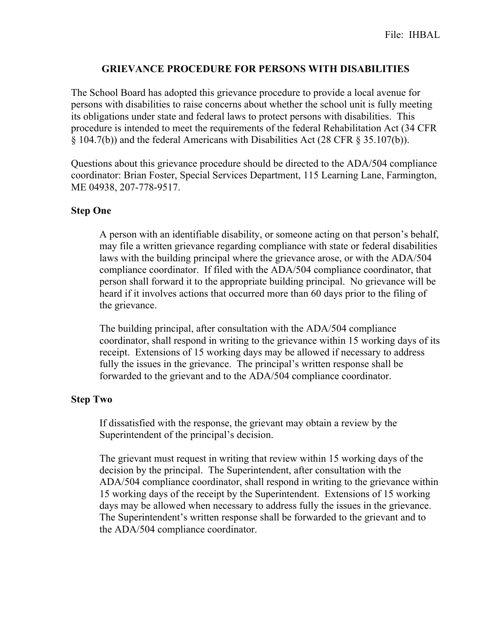## **GRIEVANCE PROCEDURE FOR PERSONS WITH DISABILITIES**

The School Board has adopted this grievance procedure to provide a local avenue for persons with disabilities to raise concerns about whether the school unit is fully meeting its obligations under state and federal laws to protect persons with disabilities. This procedure is intended to meet the requirements of the federal Rehabilitation Act (34 CFR § 104.7(b)) and the federal Americans with Disabilities Act (28 CFR § 35.107(b)).

Questions about this grievance procedure should be directed to the ADA/504 compliance coordinator: Brian Foster, Special Services Department, 115 Learning Lane, Farmington, ME 04938, 207-778-9517.

## **Step One**

A person with an identifiable disability, or someone acting on that person's behalf, may file a written grievance regarding compliance with state or federal disabilities laws with the building principal where the grievance arose, or with the ADA/504 compliance coordinator. If filed with the ADA/504 compliance coordinator, that person shall forward it to the appropriate building principal. No grievance will be heard if it involves actions that occurred more than 60 days prior to the filing of the grievance.

The building principal, after consultation with the ADA/504 compliance coordinator, shall respond in writing to the grievance within 15 working days of its receipt. Extensions of 15 working days may be allowed if necessary to address fully the issues in the grievance. The principal's written response shall be forwarded to the grievant and to the ADA/504 compliance coordinator.

## **Step Two**

If dissatisfied with the response, the grievant may obtain a review by the Superintendent of the principal's decision.

The grievant must request in writing that review within 15 working days of the decision by the principal. The Superintendent, after consultation with the ADA/504 compliance coordinator, shall respond in writing to the grievance within 15 working days of the receipt by the Superintendent. Extensions of 15 working days may be allowed when necessary to address fully the issues in the grievance. The Superintendent's written response shall be forwarded to the grievant and to the ADA/504 compliance coordinator.